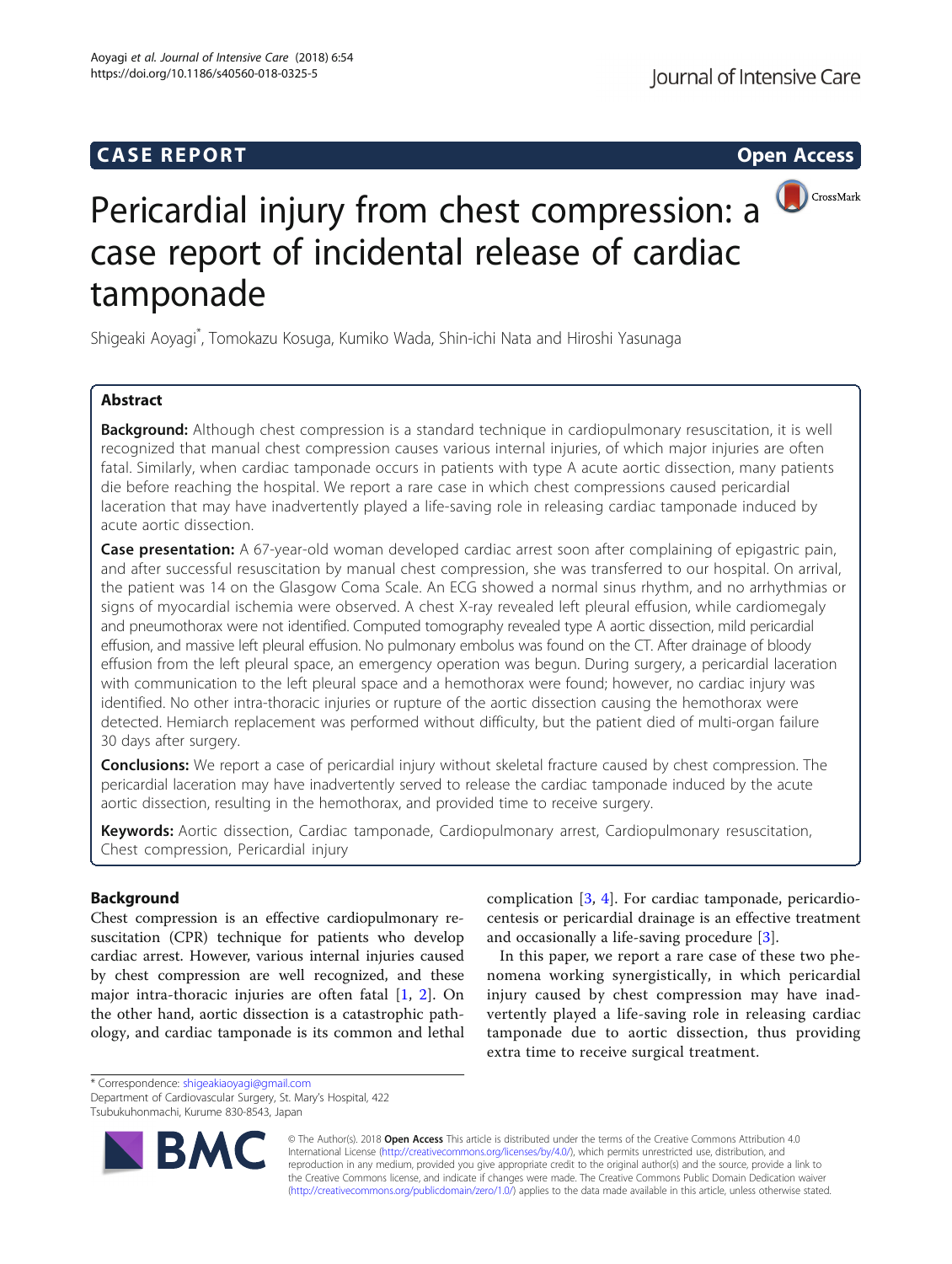# **CASE REPORT CASE REPORT**



# Pericardial injury from chest compression: a case report of incidental release of cardiac tamponade

Shigeaki Aoyagi\* , Tomokazu Kosuga, Kumiko Wada, Shin-ichi Nata and Hiroshi Yasunaga

# Abstract

**Background:** Although chest compression is a standard technique in cardiopulmonary resuscitation, it is well recognized that manual chest compression causes various internal injuries, of which major injuries are often fatal. Similarly, when cardiac tamponade occurs in patients with type A acute aortic dissection, many patients die before reaching the hospital. We report a rare case in which chest compressions caused pericardial laceration that may have inadvertently played a life-saving role in releasing cardiac tamponade induced by acute aortic dissection.

Case presentation: A 67-year-old woman developed cardiac arrest soon after complaining of epigastric pain, and after successful resuscitation by manual chest compression, she was transferred to our hospital. On arrival, the patient was 14 on the Glasgow Coma Scale. An ECG showed a normal sinus rhythm, and no arrhythmias or signs of myocardial ischemia were observed. A chest X-ray revealed left pleural effusion, while cardiomegaly and pneumothorax were not identified. Computed tomography revealed type A aortic dissection, mild pericardial effusion, and massive left pleural effusion. No pulmonary embolus was found on the CT. After drainage of bloody effusion from the left pleural space, an emergency operation was begun. During surgery, a pericardial laceration with communication to the left pleural space and a hemothorax were found; however, no cardiac injury was identified. No other intra-thoracic injuries or rupture of the aortic dissection causing the hemothorax were detected. Hemiarch replacement was performed without difficulty, but the patient died of multi-organ failure 30 days after surgery.

**Conclusions:** We report a case of pericardial injury without skeletal fracture caused by chest compression. The pericardial laceration may have inadvertently served to release the cardiac tamponade induced by the acute aortic dissection, resulting in the hemothorax, and provided time to receive surgery.

Keywords: Aortic dissection, Cardiac tamponade, Cardiopulmonary arrest, Cardiopulmonary resuscitation, Chest compression, Pericardial injury

# Background

Chest compression is an effective cardiopulmonary resuscitation (CPR) technique for patients who develop cardiac arrest. However, various internal injuries caused by chest compression are well recognized, and these major intra-thoracic injuries are often fatal [[1,](#page-2-0) [2](#page-2-0)]. On the other hand, aortic dissection is a catastrophic pathology, and cardiac tamponade is its common and lethal

complication [[3,](#page-3-0) [4](#page-3-0)]. For cardiac tamponade, pericardiocentesis or pericardial drainage is an effective treatment and occasionally a life-saving procedure [\[3](#page-3-0)].

In this paper, we report a rare case of these two phenomena working synergistically, in which pericardial injury caused by chest compression may have inadvertently played a life-saving role in releasing cardiac tamponade due to aortic dissection, thus providing extra time to receive surgical treatment.

\* Correspondence: [shigeakiaoyagi@gmail.com](mailto:shigeakiaoyagi@gmail.com)

Department of Cardiovascular Surgery, St. Mary's Hospital, 422 Tsubukuhonmachi, Kurume 830-8543, Japan



© The Author(s). 2018 Open Access This article is distributed under the terms of the Creative Commons Attribution 4.0 International License [\(http://creativecommons.org/licenses/by/4.0/](http://creativecommons.org/licenses/by/4.0/)), which permits unrestricted use, distribution, and reproduction in any medium, provided you give appropriate credit to the original author(s) and the source, provide a link to the Creative Commons license, and indicate if changes were made. The Creative Commons Public Domain Dedication waiver [\(http://creativecommons.org/publicdomain/zero/1.0/](http://creativecommons.org/publicdomain/zero/1.0/)) applies to the data made available in this article, unless otherwise stated.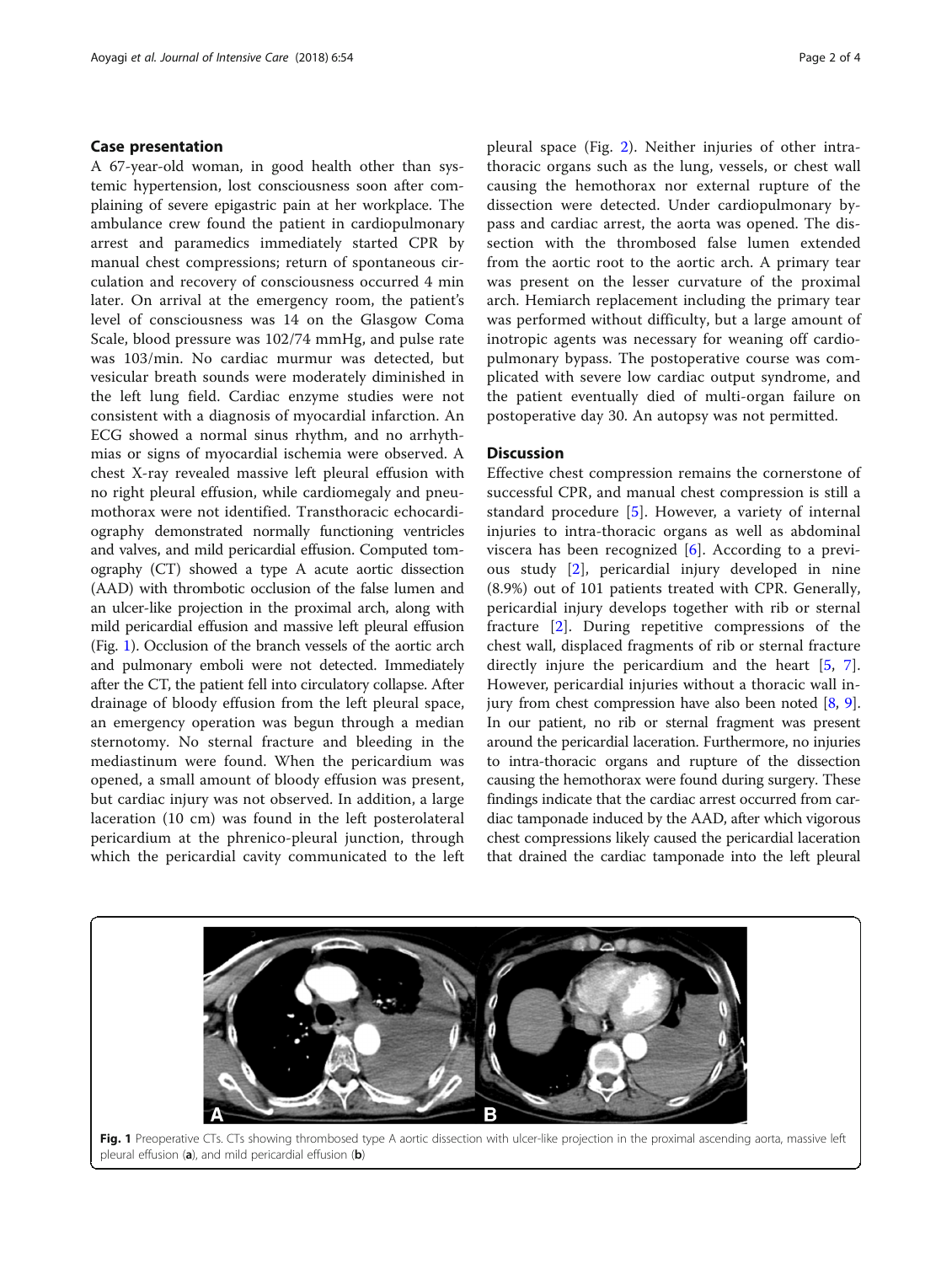# Case presentation

A 67-year-old woman, in good health other than systemic hypertension, lost consciousness soon after complaining of severe epigastric pain at her workplace. The ambulance crew found the patient in cardiopulmonary arrest and paramedics immediately started CPR by manual chest compressions; return of spontaneous circulation and recovery of consciousness occurred 4 min later. On arrival at the emergency room, the patient's level of consciousness was 14 on the Glasgow Coma Scale, blood pressure was 102/74 mmHg, and pulse rate was 103/min. No cardiac murmur was detected, but vesicular breath sounds were moderately diminished in the left lung field. Cardiac enzyme studies were not consistent with a diagnosis of myocardial infarction. An ECG showed a normal sinus rhythm, and no arrhythmias or signs of myocardial ischemia were observed. A chest X-ray revealed massive left pleural effusion with no right pleural effusion, while cardiomegaly and pneumothorax were not identified. Transthoracic echocardiography demonstrated normally functioning ventricles and valves, and mild pericardial effusion. Computed tomography (CT) showed a type A acute aortic dissection (AAD) with thrombotic occlusion of the false lumen and an ulcer-like projection in the proximal arch, along with mild pericardial effusion and massive left pleural effusion (Fig. 1). Occlusion of the branch vessels of the aortic arch and pulmonary emboli were not detected. Immediately after the CT, the patient fell into circulatory collapse. After drainage of bloody effusion from the left pleural space, an emergency operation was begun through a median sternotomy. No sternal fracture and bleeding in the mediastinum were found. When the pericardium was opened, a small amount of bloody effusion was present, but cardiac injury was not observed. In addition, a large laceration (10 cm) was found in the left posterolateral pericardium at the phrenico-pleural junction, through which the pericardial cavity communicated to the left pleural space (Fig. [2](#page-2-0)). Neither injuries of other intrathoracic organs such as the lung, vessels, or chest wall causing the hemothorax nor external rupture of the dissection were detected. Under cardiopulmonary bypass and cardiac arrest, the aorta was opened. The dissection with the thrombosed false lumen extended from the aortic root to the aortic arch. A primary tear was present on the lesser curvature of the proximal arch. Hemiarch replacement including the primary tear was performed without difficulty, but a large amount of inotropic agents was necessary for weaning off cardiopulmonary bypass. The postoperative course was complicated with severe low cardiac output syndrome, and the patient eventually died of multi-organ failure on postoperative day 30. An autopsy was not permitted.

# **Discussion**

Effective chest compression remains the cornerstone of successful CPR, and manual chest compression is still a standard procedure [[5\]](#page-3-0). However, a variety of internal injuries to intra-thoracic organs as well as abdominal viscera has been recognized [\[6](#page-3-0)]. According to a previous study [\[2](#page-2-0)], pericardial injury developed in nine (8.9%) out of 101 patients treated with CPR. Generally, pericardial injury develops together with rib or sternal fracture [\[2\]](#page-2-0). During repetitive compressions of the chest wall, displaced fragments of rib or sternal fracture directly injure the pericardium and the heart [\[5](#page-3-0), [7](#page-3-0)]. However, pericardial injuries without a thoracic wall injury from chest compression have also been noted [\[8,](#page-3-0) [9](#page-3-0)]. In our patient, no rib or sternal fragment was present around the pericardial laceration. Furthermore, no injuries to intra-thoracic organs and rupture of the dissection causing the hemothorax were found during surgery. These findings indicate that the cardiac arrest occurred from cardiac tamponade induced by the AAD, after which vigorous chest compressions likely caused the pericardial laceration that drained the cardiac tamponade into the left pleural

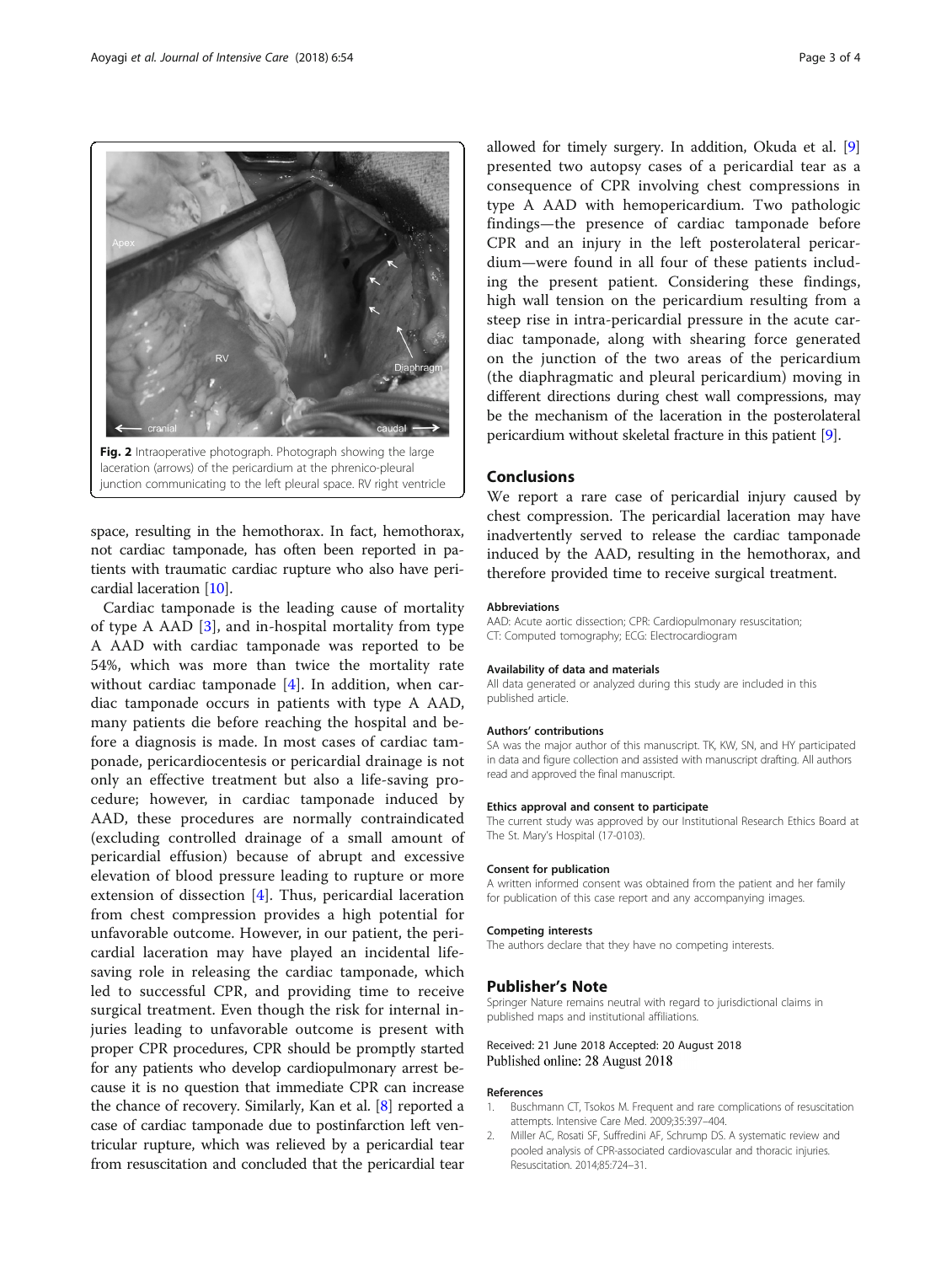<span id="page-2-0"></span>

laceration (arrows) of the pericardium at the phrenico-pleural junction communicating to the left pleural space. RV right ventricle

space, resulting in the hemothorax. In fact, hemothorax, not cardiac tamponade, has often been reported in patients with traumatic cardiac rupture who also have pericardial laceration [[10](#page-3-0)].

Cardiac tamponade is the leading cause of mortality of type A AAD [[3\]](#page-3-0), and in-hospital mortality from type A AAD with cardiac tamponade was reported to be 54%, which was more than twice the mortality rate without cardiac tamponade [\[4](#page-3-0)]. In addition, when cardiac tamponade occurs in patients with type A AAD, many patients die before reaching the hospital and before a diagnosis is made. In most cases of cardiac tamponade, pericardiocentesis or pericardial drainage is not only an effective treatment but also a life-saving procedure; however, in cardiac tamponade induced by AAD, these procedures are normally contraindicated (excluding controlled drainage of a small amount of pericardial effusion) because of abrupt and excessive elevation of blood pressure leading to rupture or more extension of dissection [\[4](#page-3-0)]. Thus, pericardial laceration from chest compression provides a high potential for unfavorable outcome. However, in our patient, the pericardial laceration may have played an incidental lifesaving role in releasing the cardiac tamponade, which led to successful CPR, and providing time to receive surgical treatment. Even though the risk for internal injuries leading to unfavorable outcome is present with proper CPR procedures, CPR should be promptly started for any patients who develop cardiopulmonary arrest because it is no question that immediate CPR can increase the chance of recovery. Similarly, Kan et al. [\[8\]](#page-3-0) reported a case of cardiac tamponade due to postinfarction left ventricular rupture, which was relieved by a pericardial tear from resuscitation and concluded that the pericardial tear

allowed for timely surgery. In addition, Okuda et al. [[9](#page-3-0)] presented two autopsy cases of a pericardial tear as a consequence of CPR involving chest compressions in type A AAD with hemopericardium. Two pathologic findings—the presence of cardiac tamponade before CPR and an injury in the left posterolateral pericardium—were found in all four of these patients including the present patient. Considering these findings, high wall tension on the pericardium resulting from a steep rise in intra-pericardial pressure in the acute cardiac tamponade, along with shearing force generated on the junction of the two areas of the pericardium (the diaphragmatic and pleural pericardium) moving in different directions during chest wall compressions, may be the mechanism of the laceration in the posterolateral pericardium without skeletal fracture in this patient [\[9](#page-3-0)].

## Conclusions

We report a rare case of pericardial injury caused by chest compression. The pericardial laceration may have inadvertently served to release the cardiac tamponade induced by the AAD, resulting in the hemothorax, and therefore provided time to receive surgical treatment.

#### **Abbreviations**

AAD: Acute aortic dissection; CPR: Cardiopulmonary resuscitation; CT: Computed tomography; ECG: Electrocardiogram

## Availability of data and materials

All data generated or analyzed during this study are included in this published article.

#### Authors' contributions

SA was the major author of this manuscript. TK, KW, SN, and HY participated in data and figure collection and assisted with manuscript drafting. All authors read and approved the final manuscript.

#### Ethics approval and consent to participate

The current study was approved by our Institutional Research Ethics Board at The St. Mary's Hospital (17-0103).

#### Consent for publication

A written informed consent was obtained from the patient and her family for publication of this case report and any accompanying images.

#### Competing interests

The authors declare that they have no competing interests.

### Publisher's Note

Springer Nature remains neutral with regard to jurisdictional claims in published maps and institutional affiliations.

## Received: 21 June 2018 Accepted: 20 August 2018 Published online: 28 August 2018

#### References

- 1. Buschmann CT, Tsokos M. Frequent and rare complications of resuscitation attempts. Intensive Care Med. 2009;35:397–404.
- 2. Miller AC, Rosati SF, Suffredini AF, Schrump DS. A systematic review and pooled analysis of CPR-associated cardiovascular and thoracic injuries. Resuscitation. 2014;85:724–31.